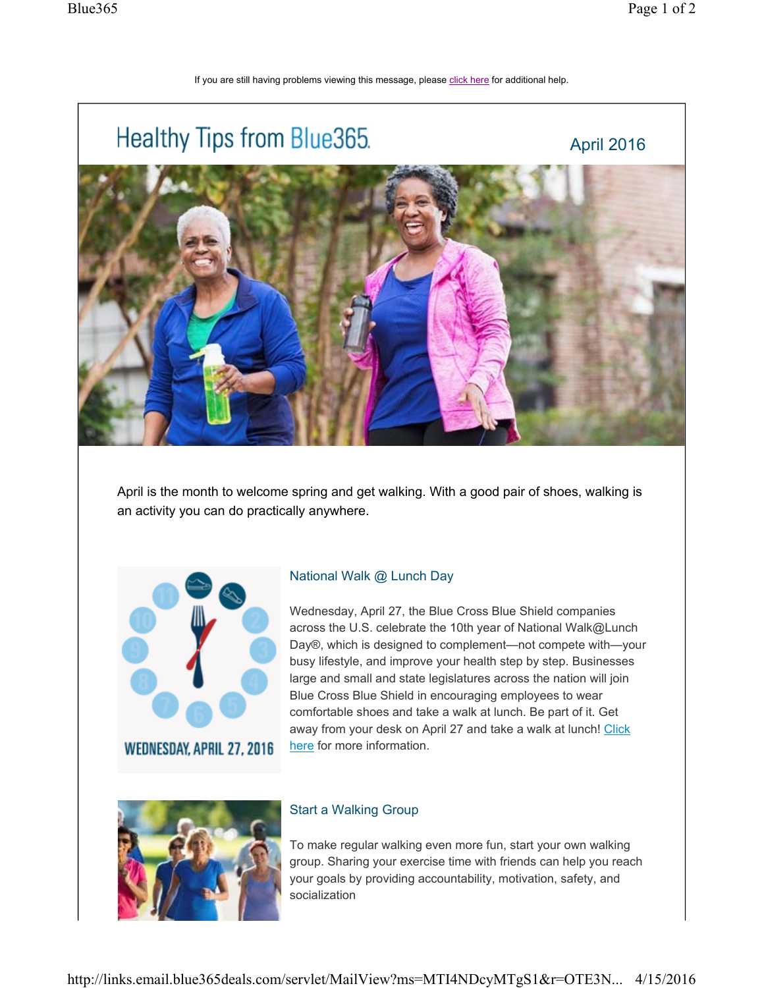## If you are still having problems viewing this message, please click here for additional help.



April is the month to welcome spring and get walking. With a good pair of shoes, walking is an activity you can do practically anywhere.



**WEDNESDAY, APRIL 27, 2016** 

## National Walk @ Lunch Day

Wednesday, April 27, the Blue Cross Blue Shield companies across the U.S. celebrate the 10th year of National Walk@Lunch Day®, which is designed to complement—not compete with—your busy lifestyle, and improve your health step by step. Businesses large and small and state legislatures across the nation will join Blue Cross Blue Shield in encouraging employees to wear comfortable shoes and take a walk at lunch. Be part of it. Get away from your desk on April 27 and take a walk at lunch! Click here for more information.



## Start a Walking Group

To make regular walking even more fun, start your own walking group. Sharing your exercise time with friends can help you reach your goals by providing accountability, motivation, safety, and socialization